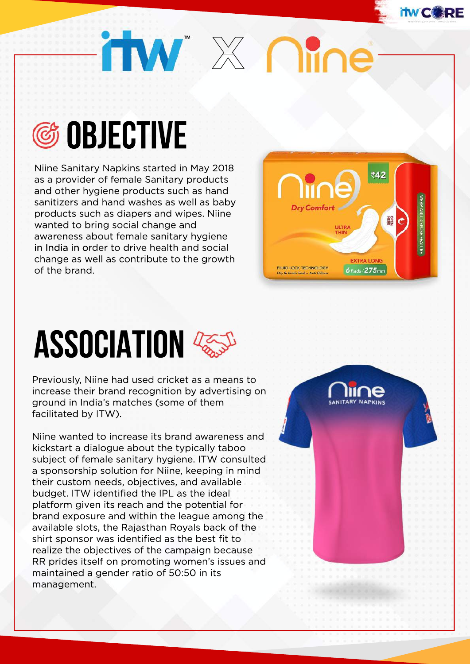# itw<sup>"</sup>  $\times$  Me



Niine Sanitary Napkins started in May 2018 as a provider of female Sanitary products and other hygiene products such as hand sanitizers and hand washes as well as baby products such as diapers and wipes. Niine wanted to bring social change and awareness about female sanitary hygiene in India in order to drive health and social change as well as contribute to the growth of the brand.



### **ASSOCIATION**

Previously, Niine had used cricket as a means to increase their brand recognition by advertising on ground in India's matches (some of them facilitated by ITW).

Niine wanted to increase its brand awareness and kickstart a dialogue about the typically taboo subject of female sanitary hygiene. ITW consulted a sponsorship solution for Niine, keeping in mind their custom needs, objectives, and available budget. ITW identified the IPL as the ideal platform given its reach and the potential for brand exposure and within the league among the available slots, the Rajasthan Royals back of the shirt sponsor was identified as the best fit to realize the objectives of the campaign because RR prides itself on promoting women's issues and maintained a gender ratio of 50:50 in its management.